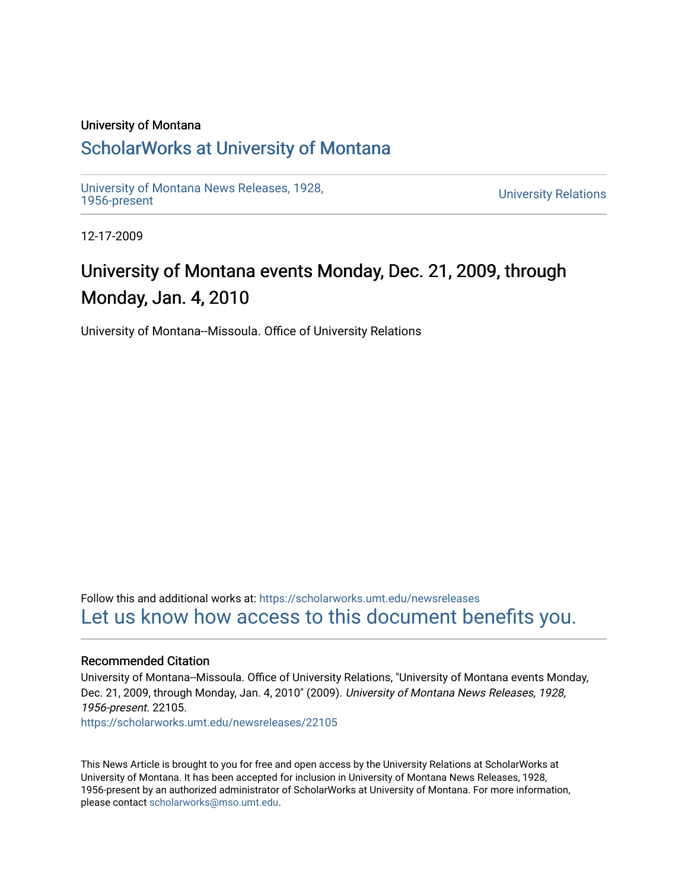### University of Montana

# [ScholarWorks at University of Montana](https://scholarworks.umt.edu/)

[University of Montana News Releases, 1928,](https://scholarworks.umt.edu/newsreleases) 

**University Relations** 

12-17-2009

# University of Montana events Monday, Dec. 21, 2009, through Monday, Jan. 4, 2010

University of Montana--Missoula. Office of University Relations

Follow this and additional works at: [https://scholarworks.umt.edu/newsreleases](https://scholarworks.umt.edu/newsreleases?utm_source=scholarworks.umt.edu%2Fnewsreleases%2F22105&utm_medium=PDF&utm_campaign=PDFCoverPages) [Let us know how access to this document benefits you.](https://goo.gl/forms/s2rGfXOLzz71qgsB2) 

# Recommended Citation

University of Montana--Missoula. Office of University Relations, "University of Montana events Monday, Dec. 21, 2009, through Monday, Jan. 4, 2010" (2009). University of Montana News Releases, 1928, 1956-present. 22105.

[https://scholarworks.umt.edu/newsreleases/22105](https://scholarworks.umt.edu/newsreleases/22105?utm_source=scholarworks.umt.edu%2Fnewsreleases%2F22105&utm_medium=PDF&utm_campaign=PDFCoverPages) 

This News Article is brought to you for free and open access by the University Relations at ScholarWorks at University of Montana. It has been accepted for inclusion in University of Montana News Releases, 1928, 1956-present by an authorized administrator of ScholarWorks at University of Montana. For more information, please contact [scholarworks@mso.umt.edu.](mailto:scholarworks@mso.umt.edu)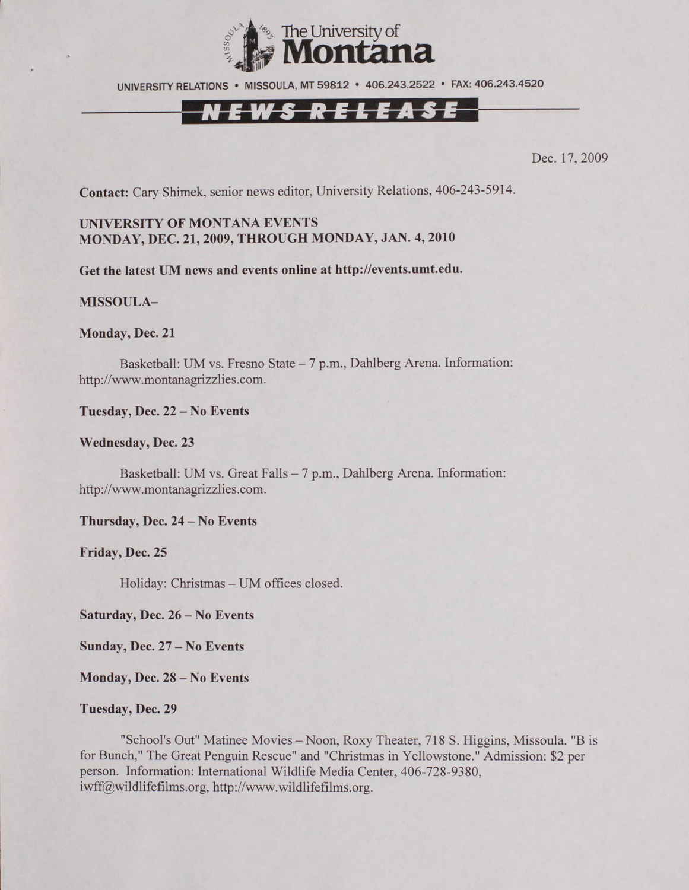

UNIVERSITY RELATIONS • MISSOULA, MT 59812 • 406.243.2522 • FAX: 406.243.4520

# N E W S R E L E A S E

Dec. 17, 2009

**Contact:** Cary Shimek, senior news editor, University Relations, 406-243-5914.

# **UNIVERSITY OF MONTANA EVENTS MONDAY, DEC. 21, 2009, THROUGH MONDAY, JAN. 4, 2010**

**Get the latest UM news and events online at [http://events.umt.edu.](http://events.umt.edu)**

#### **MISSOULA-**

#### **Monday, Dec. 21**

Basketball: UM vs. Fresno State – 7 p.m., Dahlberg Arena. Information: [http://www.montanagrizzlies.com.](http://www.montanagrizzlies.com)

**Tuesday, Dec. 22 - No Events**

#### **Wednesday, Dec. 23**

Basketball: UM vs. Great Falls - 7 p.m., Dahlberg Arena. Information: [http://www.montanagrizzlies.com.](http://www.montanagrizzlies.com)

**Thursday, Dec. 24 - No Events**

# **Friday, Dec. 25**

Holiday: Christmas - UM offices closed.

**Saturday, Dec. 26 - No Events**

**Sunday, Dec. 27 - No Events**

**Monday, Dec. 28 - No Events**

#### **Tuesday, Dec. 29**

"School's Out" Matinee Movies - Noon, Roxy Theater, 718 S. Higgins, Missoula. "B is for Bunch," The Great Penguin Rescue" and "Christmas in Yellowstone." Admission: \$2 per person. Information: International Wildlife Media Center, 406-728-9380, [iwff@wildlifefilms.org,](mailto:iwff@wildlifefilms.org) [http://www.wildlifefilms.org.](http://www.wildlifefilms.org)